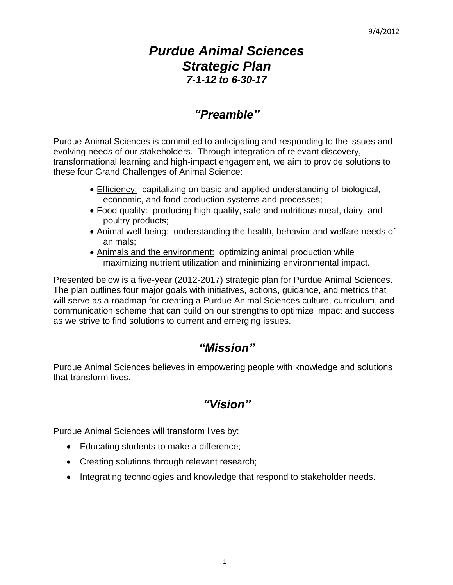# *Purdue Animal Sciences Strategic Plan 7-1-12 to 6-30-17*

# *"Preamble"*

Purdue Animal Sciences is committed to anticipating and responding to the issues and evolving needs of our stakeholders. Through integration of relevant discovery, transformational learning and high-impact engagement, we aim to provide solutions to these four Grand Challenges of Animal Science:

- Efficiency: capitalizing on basic and applied understanding of biological, economic, and food production systems and processes;
- Food quality: producing high quality, safe and nutritious meat, dairy, and poultry products;
- Animal well-being: understanding the health, behavior and welfare needs of animals;
- Animals and the environment: optimizing animal production while maximizing nutrient utilization and minimizing environmental impact.

Presented below is a five-year (2012-2017) strategic plan for Purdue Animal Sciences. The plan outlines four major goals with initiatives, actions, guidance, and metrics that will serve as a roadmap for creating a Purdue Animal Sciences culture, curriculum, and communication scheme that can build on our strengths to optimize impact and success as we strive to find solutions to current and emerging issues.

# *"Mission"*

Purdue Animal Sciences believes in empowering people with knowledge and solutions that transform lives.

# *"Vision"*

Purdue Animal Sciences will transform lives by:

- Educating students to make a difference;
- Creating solutions through relevant research;
- Integrating technologies and knowledge that respond to stakeholder needs.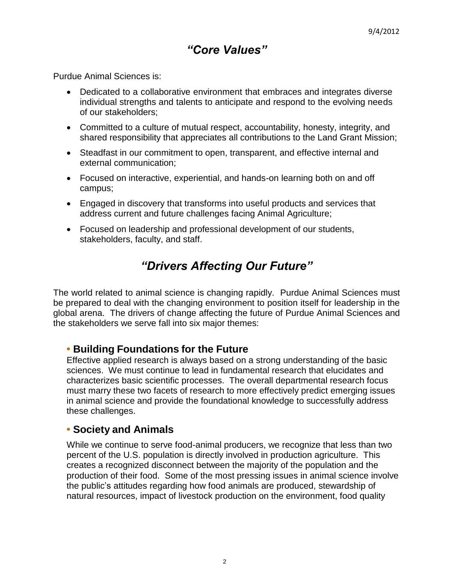# *"Core Values"*

Purdue Animal Sciences is:

- Dedicated to a collaborative environment that embraces and integrates diverse individual strengths and talents to anticipate and respond to the evolving needs of our stakeholders;
- Committed to a culture of mutual respect, accountability, honesty, integrity, and shared responsibility that appreciates all contributions to the Land Grant Mission;
- Steadfast in our commitment to open, transparent, and effective internal and external communication;
- Focused on interactive, experiential, and hands-on learning both on and off campus;
- Engaged in discovery that transforms into useful products and services that address current and future challenges facing Animal Agriculture;
- Focused on leadership and professional development of our students, stakeholders, faculty, and staff.

# *"Drivers Affecting Our Future"*

The world related to animal science is changing rapidly. Purdue Animal Sciences must be prepared to deal with the changing environment to position itself for leadership in the global arena. The drivers of change affecting the future of Purdue Animal Sciences and the stakeholders we serve fall into six major themes:

# **• Building Foundations for the Future**

Effective applied research is always based on a strong understanding of the basic sciences. We must continue to lead in fundamental research that elucidates and characterizes basic scientific processes. The overall departmental research focus must marry these two facets of research to more effectively predict emerging issues in animal science and provide the foundational knowledge to successfully address these challenges.

# **• Society and Animals**

While we continue to serve food-animal producers, we recognize that less than two percent of the U.S. population is directly involved in production agriculture. This creates a recognized disconnect between the majority of the population and the production of their food. Some of the most pressing issues in animal science involve the public's attitudes regarding how food animals are produced, stewardship of natural resources, impact of livestock production on the environment, food quality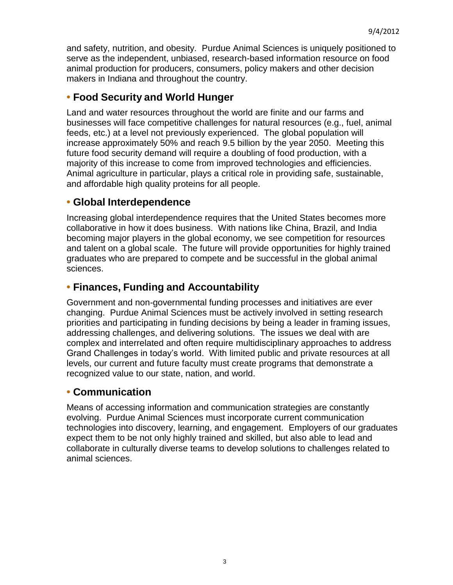and safety, nutrition, and obesity. Purdue Animal Sciences is uniquely positioned to serve as the independent, unbiased, research-based information resource on food animal production for producers, consumers, policy makers and other decision makers in Indiana and throughout the country.

# **• Food Security and World Hunger**

Land and water resources throughout the world are finite and our farms and businesses will face competitive challenges for natural resources (e.g., fuel, animal feeds, etc.) at a level not previously experienced. The global population will increase approximately 50% and reach 9.5 billion by the year 2050. Meeting this future food security demand will require a doubling of food production, with a majority of this increase to come from improved technologies and efficiencies. Animal agriculture in particular, plays a critical role in providing safe, sustainable, and affordable high quality proteins for all people.

# **• Global Interdependence**

Increasing global interdependence requires that the United States becomes more collaborative in how it does business. With nations like China, Brazil, and India becoming major players in the global economy, we see competition for resources and talent on a global scale. The future will provide opportunities for highly trained graduates who are prepared to compete and be successful in the global animal sciences.

# **• Finances, Funding and Accountability**

Government and non-governmental funding processes and initiatives are ever changing. Purdue Animal Sciences must be actively involved in setting research priorities and participating in funding decisions by being a leader in framing issues, addressing challenges, and delivering solutions. The issues we deal with are complex and interrelated and often require multidisciplinary approaches to address Grand Challenges in today's world. With limited public and private resources at all levels, our current and future faculty must create programs that demonstrate a recognized value to our state, nation, and world.

# **• Communication**

Means of accessing information and communication strategies are constantly evolving. Purdue Animal Sciences must incorporate current communication technologies into discovery, learning, and engagement. Employers of our graduates expect them to be not only highly trained and skilled, but also able to lead and collaborate in culturally diverse teams to develop solutions to challenges related to animal sciences.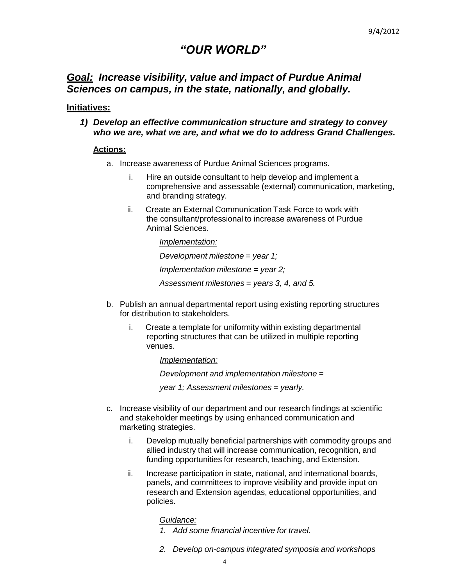# *"OUR WORLD"*

# *Goal: Increase visibility, value and impact of Purdue Animal Sciences on campus, in the state, nationally, and globally.*

### **Initiatives:**

*1) Develop an effective communication structure and strategy to convey who we are, what we are, and what we do to address Grand Challenges.*

### **Actions:**

- a. Increase awareness of Purdue Animal Sciences programs.
	- i. Hire an outside consultant to help develop and implement a comprehensive and assessable (external) communication, marketing, and branding strategy.
	- ii. Create an External Communication Task Force to work with the consultant/professional to increase awareness of Purdue Animal Sciences.

*Implementation: Development milestone = year 1; Implementation milestone = year 2; Assessment milestones = years 3, 4, and 5.*

- b. Publish an annual departmental report using existing reporting structures for distribution to stakeholders.
	- i. Create a template for uniformity within existing departmental reporting structures that can be utilized in multiple reporting venues.

*Implementation:*

*Development and implementation milestone =*

*year 1; Assessment milestones = yearly.*

- c. Increase visibility of our department and our research findings at scientific and stakeholder meetings by using enhanced communication and marketing strategies.
	- i. Develop mutually beneficial partnerships with commodity groups and allied industry that will increase communication, recognition, and funding opportunities for research, teaching, and Extension.
	- ii. Increase participation in state, national, and international boards, panels, and committees to improve visibility and provide input on research and Extension agendas, educational opportunities, and policies.

### *Guidance:*

- *1. Add some financial incentive for travel.*
- *2. Develop on-campus integrated symposia and workshops*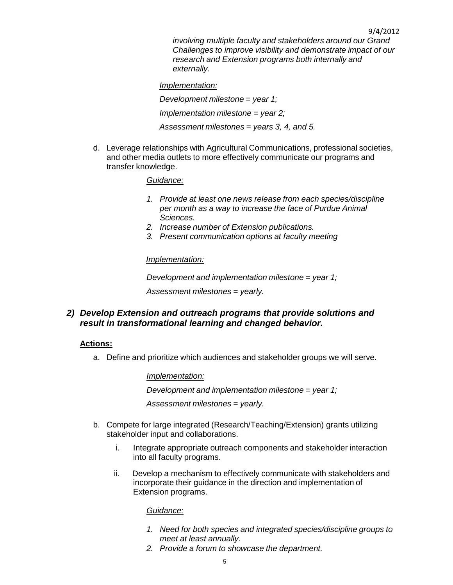9/4/2012 *involving multiple faculty and stakeholders around our Grand Challenges to improve visibility and demonstrate impact of our research and Extension programs both internally and externally.*

*Implementation: Development milestone = year 1; Implementation milestone = year 2; Assessment milestones = years 3, 4, and 5.*

d. Leverage relationships with Agricultural Communications, professional societies, and other media outlets to more effectively communicate our programs and transfer knowledge.

## *Guidance:*

- *1. Provide at least one news release from each species/discipline per month as a way to increase the face of Purdue Animal Sciences.*
- *2. Increase number of Extension publications.*
- *3. Present communication options at faculty meeting*

## *Implementation:*

*Development and implementation milestone = year 1;* 

*Assessment milestones = yearly.*

*2) Develop Extension and outreach programs that provide solutions and result in transformational learning and changed behavior.*

## **Actions:**

a. Define and prioritize which audiences and stakeholder groups we will serve.

*Implementation:*

*Development and implementation milestone = year 1;* 

*Assessment milestones = yearly.*

- b. Compete for large integrated (Research/Teaching/Extension) grants utilizing stakeholder input and collaborations.
	- i. Integrate appropriate outreach components and stakeholder interaction into all faculty programs.
	- ii. Develop a mechanism to effectively communicate with stakeholders and incorporate their guidance in the direction and implementation of Extension programs.

### *Guidance:*

- *1. Need for both species and integrated species/discipline groups to meet at least annually.*
- *2. Provide a forum to showcase the department.*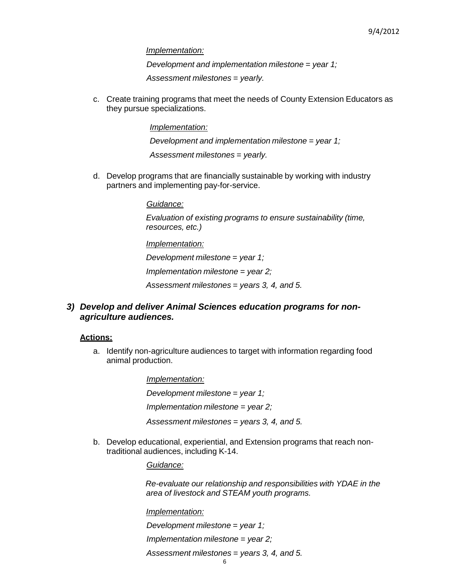*Implementation:*

*Development and implementation milestone = year 1;* 

*Assessment milestones = yearly.*

c. Create training programs that meet the needs of County Extension Educators as they pursue specializations.

*Implementation:*

*Development and implementation milestone = year 1;* 

*Assessment milestones = yearly.*

d. Develop programs that are financially sustainable by working with industry partners and implementing pay-for-service.

*Guidance:*

*Evaluation of existing programs to ensure sustainability (time, resources, etc.)*

*Implementation:*

*Development milestone = year 1;* 

*Implementation milestone = year 2;* 

*Assessment milestones = years 3, 4, and 5.*

*3) Develop and deliver Animal Sciences education programs for nonagriculture audiences.*

### **Actions:**

a. Identify non-agriculture audiences to target with information regarding food animal production.

> *Implementation: Development milestone = year 1; Implementation milestone = year 2; Assessment milestones = years 3, 4, and 5.*

b. Develop educational, experiential, and Extension programs that reach nontraditional audiences, including K-14.

*Guidance:*

*Re-evaluate our relationship and responsibilities with YDAE in the area of livestock and STEAM youth programs.*

*Implementation:*

*Development milestone = year 1;* 

*Implementation milestone = year 2;* 

*Assessment milestones = years 3, 4, and 5.*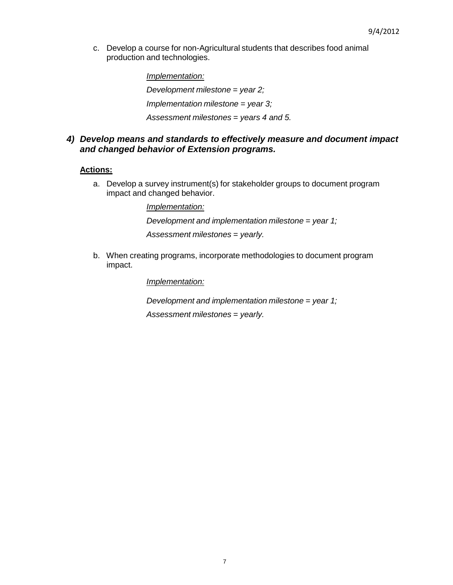c. Develop a course for non-Agricultural students that describes food animal production and technologies.

> *Implementation: Development milestone = year 2; Implementation milestone = year 3; Assessment milestones = years 4 and 5.*

## *4) Develop means and standards to effectively measure and document impact and changed behavior of Extension programs.*

### **Actions:**

a. Develop a survey instrument(s) for stakeholder groups to document program impact and changed behavior.

> *Implementation: Development and implementation milestone = year 1; Assessment milestones = yearly.*

b. When creating programs, incorporate methodologies to document program impact.

*Implementation:*

*Development and implementation milestone = year 1;* 

*Assessment milestones = yearly.*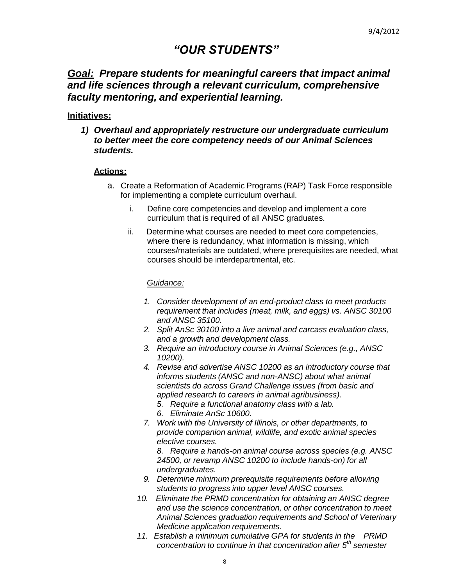# *"OUR STUDENTS"*

# *Goal: Prepare students for meaningful careers that impact animal and life sciences through a relevant curriculum, comprehensive faculty mentoring, and experiential learning.*

## **Initiatives:**

*1) Overhaul and appropriately restructure our undergraduate curriculum to better meet the core competency needs of our Animal Sciences students.*

### **Actions:**

- a. Create a Reformation of Academic Programs (RAP) Task Force responsible for implementing a complete curriculum overhaul.
	- i. Define core competencies and develop and implement a core curriculum that is required of all ANSC graduates.
	- ii. Determine what courses are needed to meet core competencies, where there is redundancy, what information is missing, which courses/materials are outdated, where prerequisites are needed, what courses should be interdepartmental, etc.

### *Guidance:*

- *1. Consider development of an end-product class to meet products requirement that includes (meat, milk, and eggs) vs. ANSC 30100 and ANSC 35100.*
- *2. Split AnSc 30100 into a live animal and carcass evaluation class, and a growth and development class.*
- *3. Require an introductory course in Animal Sciences (e.g., ANSC 10200).*
- *4. Revise and advertise ANSC 10200 as an introductory course that informs students (ANSC and non-ANSC) about what animal scientists do across Grand Challenge issues (from basic and applied research to careers in animal agribusiness).*
	- *5. Require a functional anatomy class with a lab.*
	- *6. Eliminate AnSc 10600.*
- *7. Work with the University of Illinois, or other departments, to provide companion animal, wildlife, and exotic animal species elective courses.*

*8. Require a hands-on animal course across species (e.g. ANSC 24500, or revamp ANSC 10200 to include hands-on) for all undergraduates.*

- *9. Determine minimum prerequisite requirements before allowing students to progress into upper level ANSC courses.*
- *10. Eliminate the PRMD concentration for obtaining an ANSC degree and use the science concentration, or other concentration to meet Animal Sciences graduation requirements and School of Veterinary Medicine application requirements.*
- *11. Establish a minimum cumulative GPA for students in the PRMD concentration to continue in that concentration after 5 th semester*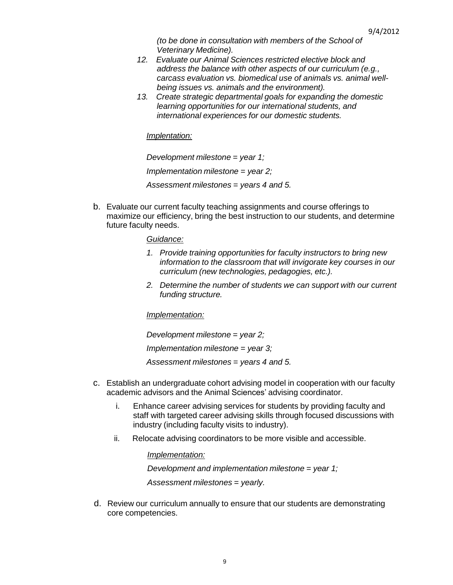*(to be done in consultation with members of the School of Veterinary Medicine).*

- *12. Evaluate our Animal Sciences restricted elective block and address the balance with other aspects of our curriculum (e.g., carcass evaluation vs. biomedical use of animals vs. animal wellbeing issues vs. animals and the environment).*
- *13. Create strategic departmental goals for expanding the domestic learning opportunities for our international students, and international experiences for our domestic students.*

*Implentation:*

*Development milestone = year 1; Implementation milestone = year 2; Assessment milestones = years 4 and 5.*

b. Evaluate our current faculty teaching assignments and course offerings to maximize our efficiency, bring the best instruction to our students, and determine future faculty needs.

### *Guidance:*

- *1. Provide training opportunities for faculty instructors to bring new information to the classroom that will invigorate key courses in our curriculum (new technologies, pedagogies, etc.).*
- *2. Determine the number of students we can support with our current funding structure.*

### *Implementation:*

*Development milestone = year 2; Implementation milestone = year 3; Assessment milestones = years 4 and 5.*

- c. Establish an undergraduate cohort advising model in cooperation with our faculty academic advisors and the Animal Sciences' advising coordinator.
	- i. Enhance career advising services for students by providing faculty and staff with targeted career advising skills through focused discussions with industry (including faculty visits to industry).
	- ii. Relocate advising coordinators to be more visible and accessible.

### *Implementation:*

*Development and implementation milestone = year 1;*

*Assessment milestones = yearly.*

d. Review our curriculum annually to ensure that our students are demonstrating core competencies.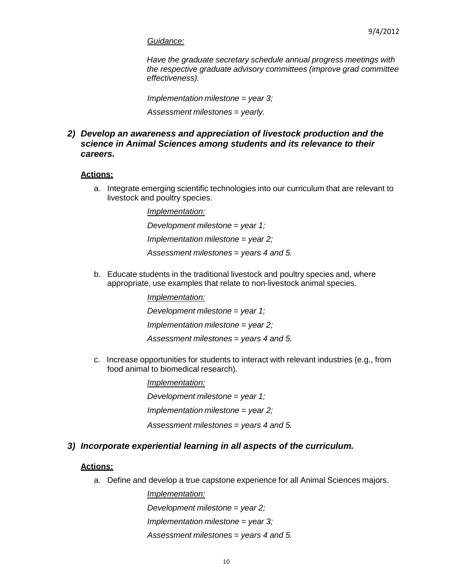### *Guidance:*

*Have the graduate secretary schedule annual progress meetings with the respective graduate advisory committees (improve grad committee effectiveness).*

*Implementation milestone = year 3;*

*Assessment milestones = yearly.*

## *2) Develop an awareness and appreciation of livestock production and the science in Animal Sciences among students and its relevance to their careers.*

### **Actions:**

a. Integrate emerging scientific technologies into our curriculum that are relevant to livestock and poultry species.

> *Implementation: Development milestone = year 1; Implementation milestone = year 2; Assessment milestones = years 4 and 5.*

b. Educate students in the traditional livestock and poultry species and, where appropriate, use examples that relate to non-livestock animal species.

> *Implementation: Development milestone = year 1; Implementation milestone = year 2; Assessment milestones = years 4 and 5.*

c. Increase opportunities for students to interact with relevant industries (e.g., from food animal to biomedical research).

> *Implementation: Development milestone = year 1; Implementation milestone = year 2; Assessment milestones = years 4 and 5.*

### *3) Incorporate experiential learning in all aspects of the curriculum.*

### **Actions:**

a. Define and develop a true capstone experience for all Animal Sciences majors.

*Implementation: Development milestone = year 2; Implementation milestone = year 3; Assessment milestones = years 4 and 5.*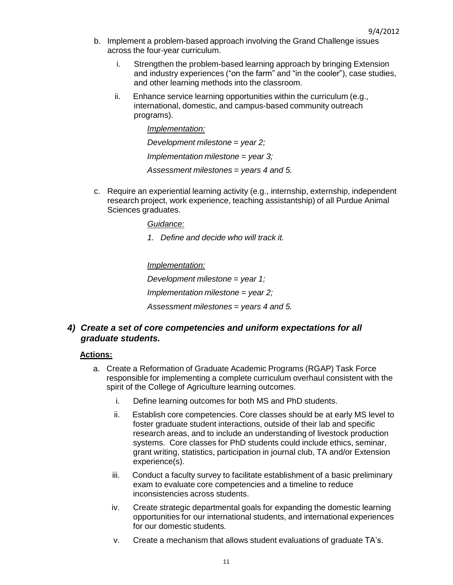- b. Implement a problem-based approach involving the Grand Challenge issues across the four-year curriculum.
	- i. Strengthen the problem-based learning approach by bringing Extension and industry experiences ("on the farm" and "in the cooler"), case studies, and other learning methods into the classroom.
	- ii. Enhance service learning opportunities within the curriculum (e.g., international, domestic, and campus-based community outreach programs).

*Implementation: Development milestone = year 2; Implementation milestone = year 3; Assessment milestones = years 4 and 5.*

c. Require an experiential learning activity (e.g., internship, externship, independent research project, work experience, teaching assistantship) of all Purdue Animal Sciences graduates.

*Guidance:*

*1. Define and decide who will track it.*

*Implementation:*

*Development milestone = year 1;*

*Implementation milestone = year 2;*

*Assessment milestones = years 4 and 5.*

## *4) Create a set of core competencies and uniform expectations for all graduate students.*

### **Actions:**

- a. Create a Reformation of Graduate Academic Programs (RGAP) Task Force responsible for implementing a complete curriculum overhaul consistent with the spirit of the College of Agriculture learning outcomes.
	- i. Define learning outcomes for both MS and PhD students.
	- ii. Establish core competencies. Core classes should be at early MS level to foster graduate student interactions, outside of their lab and specific research areas, and to include an understanding of livestock production systems. Core classes for PhD students could include ethics, seminar, grant writing, statistics, participation in journal club, TA and/or Extension experience(s).
	- iii. Conduct a faculty survey to facilitate establishment of a basic preliminary exam to evaluate core competencies and a timeline to reduce inconsistencies across students.
	- iv. Create strategic departmental goals for expanding the domestic learning opportunities for our international students, and international experiences for our domestic students.
	- v. Create a mechanism that allows student evaluations of graduate TA's.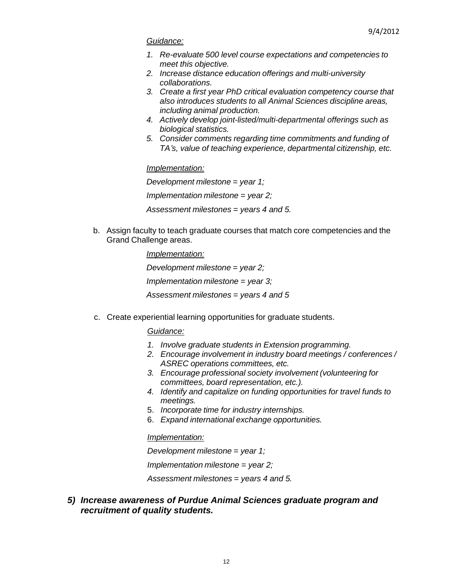### *Guidance:*

- *1. Re-evaluate 500 level course expectations and competencies to meet this objective.*
- *2. Increase distance education offerings and multi-university collaborations.*
- *3. Create a first year PhD critical evaluation competency course that also introduces students to all Animal Sciences discipline areas, including animal production.*
- *4. Actively develop joint-listed/multi-departmental offerings such as biological statistics.*
- *5. Consider comments regarding time commitments and funding of TA's, value of teaching experience, departmental citizenship, etc.*

### *Implementation:*

*Development milestone = year 1; Implementation milestone = year 2; Assessment milestones = years 4 and 5.*

b. Assign faculty to teach graduate courses that match core competencies and the Grand Challenge areas.

> *Implementation: Development milestone = year 2; Implementation milestone = year 3; Assessment milestones = years 4 and 5*

c. Create experiential learning opportunities for graduate students.

### *Guidance:*

- *1. Involve graduate students in Extension programming.*
- *2. Encourage involvement in industry board meetings / conferences / ASREC operations committees, etc.*
- *3. Encourage professional society involvement (volunteering for committees, board representation, etc.).*
- *4. Identify and capitalize on funding opportunities for travel funds to meetings.*
- 5. *Incorporate time for industry internships.*
- 6. *Expand international exchange opportunities.*

# *Implementation:*

*Development milestone = year 1;*

*Implementation milestone = year 2;*

*Assessment milestones = years 4 and 5.*

*5) Increase awareness of Purdue Animal Sciences graduate program and recruitment of quality students.*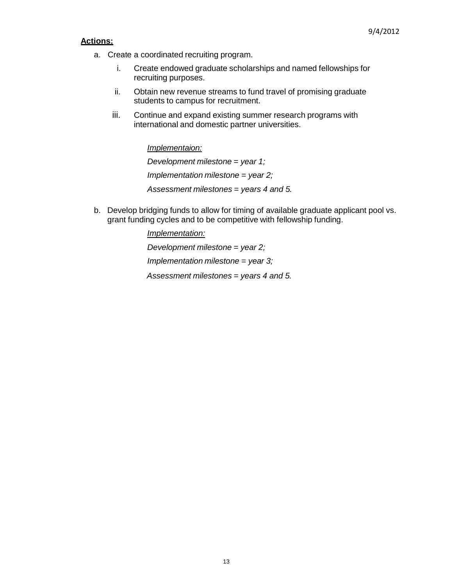### **Actions:**

- a. Creat e a coordinated recruiting program.
	- i. Create endowed graduate scholarships and named fellowships for recruiting purposes.
	- ii. Obtain new revenue streams to fund travel of promising graduate students to campus for recruitment.
	- iii. Continue and expand existing summer research programs with international and domestic partner universities.

*Implementaion: Development milestone = year 1; Implementation milestone = year 2; Assessment milestones = years 4 and 5.*

b. Develop bridging funds to allow for timing of available graduate applicant pool vs. grant funding cycles and to be competitive with fellowship funding.

> *Implementation: Development milestone = year 2; Implementation milestone = year 3; Assessment milestones = years 4 and 5.*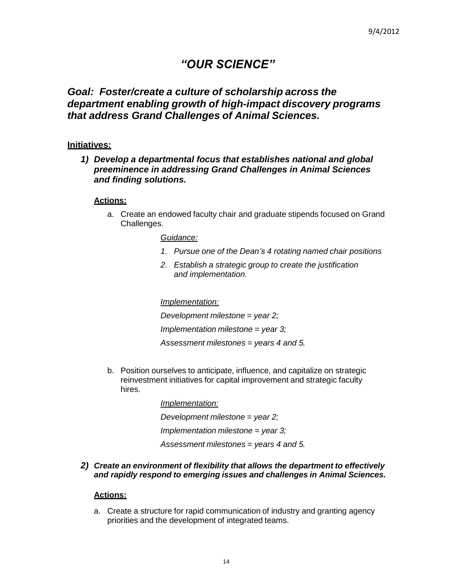# *"OUR SCIENCE"*

# *Goal: Foster/create a culture of scholarship across the department enabling growth of high-impact discovery programs that address Grand Challenges of Animal Sciences.*

## **Initiatives:**

*1) Develop a departmental focus that establishes national and global preeminence in addressing Grand Challenges in Animal Sciences and finding solutions.*

### **Actions:**

a. Create an endowed faculty chair and graduate stipends focused on Grand Challenges.

### *Guidance:*

- *1. Pursue one of the Dean's 4 rotating named chair positions*
- *2. Establish a strategic group to create the justification and implementation.*

### *Implementation:*

*Development milestone = year 2; Implementation milestone = year 3; Assessment milestones = years 4 and 5.*

b. Position ourselves to anticipate, influence, and capitalize on strategic reinvestment initiatives for capital improvement and strategic faculty hires.

> *Implementation: Development milestone = year 2; Implementation milestone = year 3; Assessment milestones = years 4 and 5.*

*2) Create an environment of flexibility that allows the department to effectively and rapidly respond to emerging issues and challenges in Animal Sciences.*

### **Actions:**

a. Create a structure for rapid communication of industry and granting agency priorities and the development of integrated teams.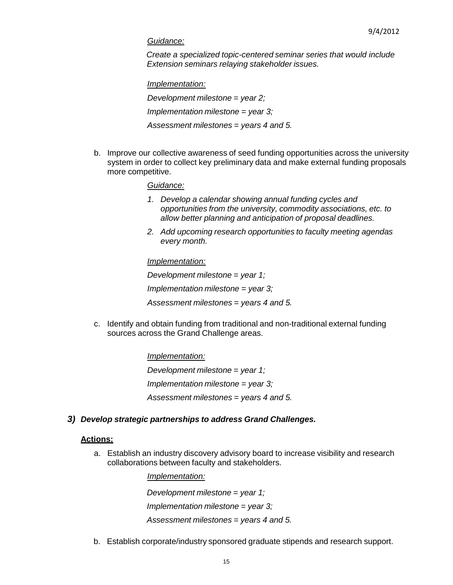#### *Guidance:*

*Create a specialized topic-centered seminar series that would include Extension seminars relaying stakeholder issues.*

*Implementation:*

*Development milestone = year 2; Implementation milestone = year 3; Assessment milestones = years 4 and 5.*

b. Improve our collective awareness of seed funding opportunities across the university system in order to collect key preliminary data and make external funding proposals more competitive.

#### *Guidance:*

- *1. Develop a calendar showing annual funding cycles and opportunities from the university, commodity associations, etc. to allow better planning and anticipation of proposal deadlines.*
- *2. Add upcoming research opportunities to faculty meeting agendas every month.*

#### *Implementation:*

*Development milestone = year 1; Implementation milestone = year 3; Assessment milestones = years 4 and 5.*

c. Identify and obtain funding from traditional and non-traditional external funding sources across the Grand Challenge areas.

> *Implementation: Development milestone = year 1; Implementation milestone = year 3; Assessment milestones = years 4 and 5.*

### *3) Develop strategic partnerships to address Grand Challenges.*

### **Actions:**

a. Establish an industry discovery advisory board to increase visibility and research collaborations between faculty and stakeholders.

> *Implementation: Development milestone = year 1; Implementation milestone = year 3; Assessment milestones = years 4 and 5.*

b. Establish corporate/industry sponsored graduate stipends and research support.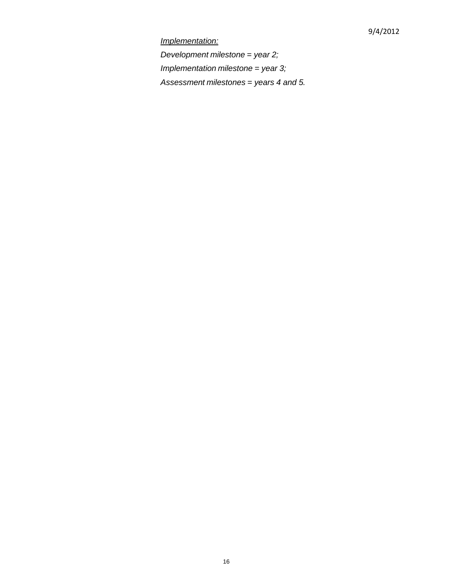# *Implementation:*

*Development milestone = year 2; Implementation milestone = year 3; Assessment milestones = years 4 and 5.*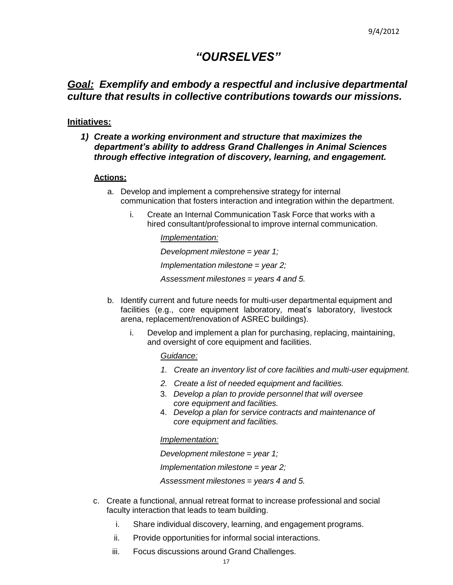# *"OURSELVES"*

# *Goal: Exemplify and embody a respectful and inclusive departmental culture that results in collective contributions towards our missions.*

## **Initiatives:**

# *1) Create a working environment and structure that maximizes the department's ability to address Grand Challenges in Animal Sciences through effective integration of discovery, learning, and engagement.*

## **Actions:**

- a. Develop and implement a comprehensive strategy for internal communication that fosters interaction and integration within the department.
	- i. Create an Internal Communication Task Force that works with a hired consultant/professional to improve internal communication.

*Implementation:*

*Development milestone = year 1; Implementation milestone = year 2;*

*Assessment milestones = years 4 and 5.*

- b. Identify current and future needs for multi-user departmental equipment and facilities (e.g., core equipment laboratory, meat's laboratory, livestock arena, replacement/renovation of ASREC buildings).
	- i. Develop and implement a plan for purchasing, replacing, maintaining, and oversight of core equipment and facilities.

*Guidance:*

- *1. Create an inventory list of core facilities and multi-user equipment.*
- *2. Create a list of needed equipment and facilities.*
- 3. *Develop a plan to provide personnel that will oversee core equipment and facilities.*
- 4. *Develop a plan for service contracts and maintenance of core equipment and facilities.*

*Implementation:*

*Development milestone = year 1;*

*Implementation milestone = year 2;*

*Assessment milestones = years 4 and 5.*

- c. Create a functional, annual retreat format to increase professional and social facult y interaction that leads to team building.
	- i. Share individual discovery, learning, and engagement programs.
	- ii. Provide opportunities for informal social interactions.
	- iii. Focus discussions around Grand Challenges.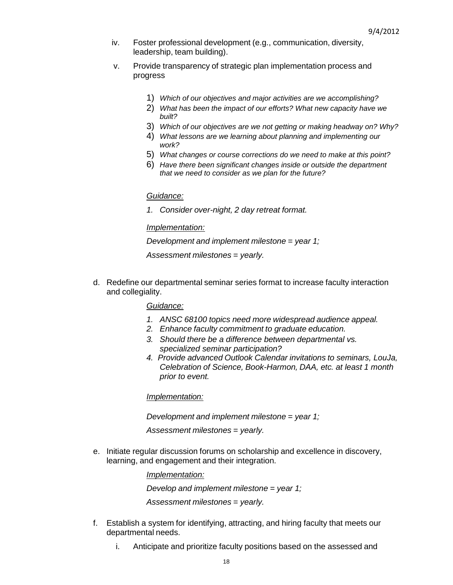- iv. Foster professional development (e.g., communication, diversity, leadership, team building).
- v. Provide transparency of strategic plan implementation process and progress
	- 1) *Which of our objectives and major activities are we accomplishing?*
	- 2) *What has been the impact of our efforts? What new capacity have we built?*
	- 3) *Which of our objectives are we not getting or making headway on? Why?*
	- 4) *What lessons are we learning about planning and implementing our work?*
	- 5) *What changes or course corrections do we need to make at this point?*
	- 6) *Have there been significant changes inside or outside the department that we need to consider as we plan for the future?*

#### *Guidance:*

*1. Consider over-night, 2 day retreat format.*

#### *Implementation:*

#### *Development and implement milestone = year 1;*

*Assessment milestones = yearly.*

d. Redefine our departmental seminar series format to increase faculty interaction and collegiality.

*Guidance:*

- *1. ANSC 68100 topics need more widespread audience appeal.*
- *2. Enhance faculty commitment to graduate education.*
- *3. Should there be a difference between departmental vs. specialized seminar participation?*
- *4. Provide advanced Outlook Calendar invitations to seminars, LouJa, Celebration of Science, Book-Harmon, DAA, etc. at least 1 month prior to event.*

*Implementation:*

*Development and implement milestone = year 1;*

*Assessment milestones = yearly.*

e. Initiate regular discussion forums on scholarship and excellence in discovery, learning, and engagement and their integration.

*Implementation:*

*Develop and implement milestone = year 1;*

*Assessment milestones = yearly.*

- f. Establish a system for identifying, attracting, and hiring faculty that meets our departmental needs.
	- i. Anticipate and prioritize faculty positions based on the assessed and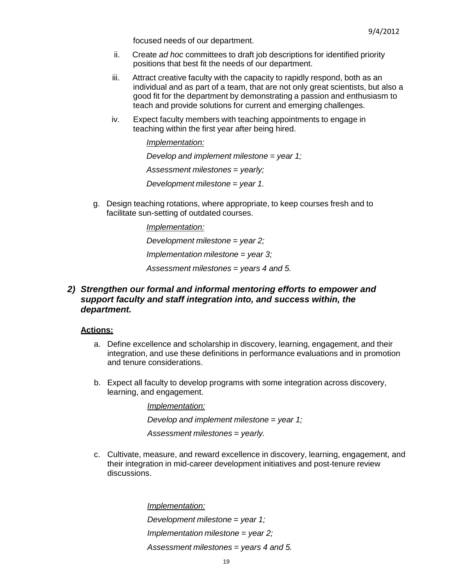focused needs of our department.

- ii. Create *ad hoc* committees to draft job descriptions for identified priority positions that best fit the needs of our department.
- iii. Attract creative faculty with the capacity to rapidly respond, both as an individual and as part of a team, that are not only great scientists, but also a good fit for the department by demonstrating a passion and enthusiasm to teach and provide solutions for current and emerging challenges.
- iv. Expect faculty members with teaching appointments to engage in teaching within the first year after being hired.

*Implementation:*

*Develop and implement milestone = year 1;*

*Assessment milestones = yearly;*

*Development milestone = year 1.*

g. Design teaching rotations, where appropriate, to keep courses fresh and to facilitate sun-setting of outdated courses.

*Implementation:*

*Development milestone = year 2;*

*Implementation milestone = year 3;*

*Assessment milestones = years 4 and 5.*

## *2) Strengthen our formal and informal mentoring efforts to empower and support faculty and staff integration into, and success within, the department.*

#### **Actions:**

- a. Define excellence and scholarship in discovery, learning, engagement, and their integration, and use these definitions in performance evaluations and in promotion and tenure considerations.
- b. Expect all faculty to develop programs with some integration across discovery, learning, and engagement.

*Implementation:*

*Develop and implement milestone = year 1;*

*Assessment milestones = yearly.*

c. Cultivate, measure, and reward excellence in discovery, learning, engagement, and their integration in mid-career development initiatives and post-tenure review discussions.

> *Implementation: Development milestone = year 1; Implementation milestone = year 2; Assessment milestones = years 4 and 5.*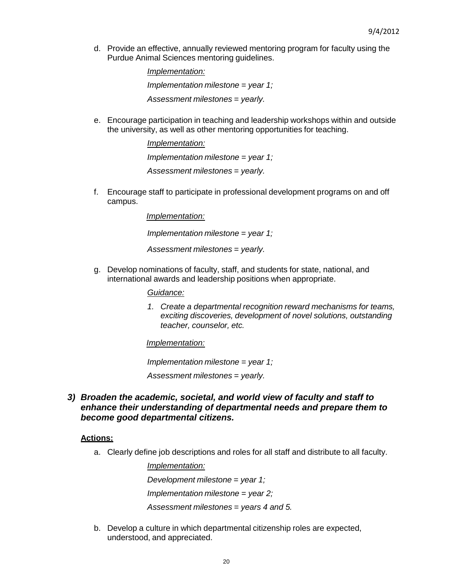d. Provide an effective, annually reviewed mentoring program for faculty using the Purdue Animal Sciences mentoring guidelines.

> *Implementation: Implementation milestone = year 1; Assessment milestones = yearly.*

e. Encourage participation in teaching and leadership workshops within and outside the university, as well as other mentoring opportunities for teaching.

> *Implementation: Implementation milestone = year 1; Assessment milestones = yearly.*

f. Encourage staff to participate in professional development programs on and off campus.

> *Implementation: Implementation milestone = year 1; Assessment milestones = yearly.*

g. Develop nominations of faculty, staff, and students for state, national, and international awards and leadership positions when appropriate.

*Guidance:*

*1. Create a departmental recognition reward mechanisms for teams, exciting discoveries, development of novel solutions, outstanding teacher, counselor, etc.*

*Implementation:*

*Implementation milestone = year 1;*

*Assessment milestones = yearly.*

*3) Broaden the academic, societal, and world view of faculty and staff to enhance their understanding of departmental needs and prepare them to become good departmental citizens.*

## **Actions:**

a. Clearly define job descriptions and roles for all staff and distribute to all faculty.

*Implementation: Development milestone = year 1; Implementation milestone = year 2; Assessment milestones = years 4 and 5.*

b. Develop a culture in which departmental citizenship roles are expected, understood, and appreciated.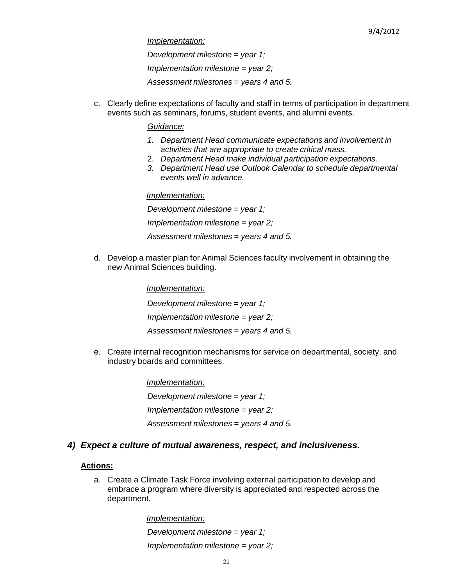*Implementation:*

*Development milestone = year 1; Implementation milestone = year 2; Assessment milestones = years 4 and 5.*

c. Clearly define expectations of faculty and staff in terms of participation in department events such as seminars, forums, student events, and alumni events.

### *Guidance:*

- *1. Department Head communicate expectations and involvement in activities that are appropriate to create critical mass.*
- 2. *Department Head make individual participation expectations.*
- *3. Department Head use Outlook Calendar to schedule departmental events well in advance.*

*Implementation: Development milestone = year 1; Implementation milestone = year 2; Assessment milestones = years 4 and 5.*

d. Develop a master plan for Animal Sciences faculty involvement in obtaining the new Animal Sciences building.

> *Implementation: Development milestone = year 1; Implementation milestone = year 2; Assessment milestones = years 4 and 5.*

e. Create internal recognition mechanisms for service on departmental, society, and industry boards and committees.

> *Implementation: Development milestone = year 1; Implementation milestone = year 2; Assessment milestones = years 4 and 5.*

# *4) Expect a culture of mutual awareness, respect, and inclusiveness.*

## **Actions:**

a. Create a Climate Task Force involving external participation to develop and embrace a program where diversity is appreciated and respected across the department.

> *Implementation: Development milestone = year 1; Implementation milestone = year 2;*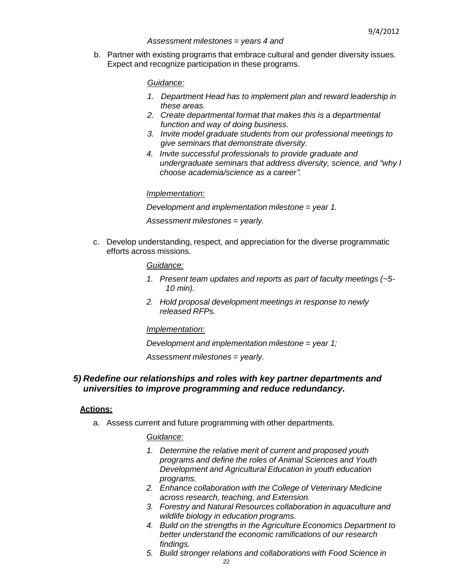### *Assessment milestones = years 4 and*

b. Partner with existing programs that embrace cultural and gender diversity issues. Expect and recognize participation in these programs.

### *Guidance:*

- *1. Department Head has to implement plan and reward leadership in these areas.*
- *2. Create departmental format that makes this is a departmental function and way of doing business.*
- *3. Invite model graduate students from our professional meetings to give seminars that demonstrate diversity.*
- *4. Invite successful professionals to provide graduate and undergraduate seminars that address diversity, science, and "why I choose academia/science as a career".*

### *Implementation:*

*Development and implementation milestone = year 1.*

*Assessment milestones = yearly.*

c. Develop understanding, respect, and appreciation for the diverse programmatic efforts across missions.

### *Guidance:*

- *1. Present team updates and reports as part of faculty meetings (~5- 10 min).*
- *2. Hold proposal development meetings in response to newly released RFPs.*

#### *Implementation:*

*Development and implementation milestone = year 1;*

*Assessment milestones = yearly.*

## *5) Redefine our relationships and roles with key partner departments and universities to improve programming and reduce redundancy.*

### **Actions:**

a. Assess current and future programming with other departments.

#### *Guidance:*

- *1. Determine the relative merit of current and proposed youth programs and define the roles of Animal Sciences and Youth Development and Agricultural Education in youth education programs.*
- *2. Enhance collaboration with the College of Veterinary Medicine across research, teaching, and Extension.*
- *3. Forestry and Natural Resources collaboration in aquaculture and wildlife biology in education programs.*
- *4. Build on the strengths in the Agriculture Economics Department to better understand the economic ramifications of our research findings.*
- *5. Build stronger relations and collaborations with Food Science in*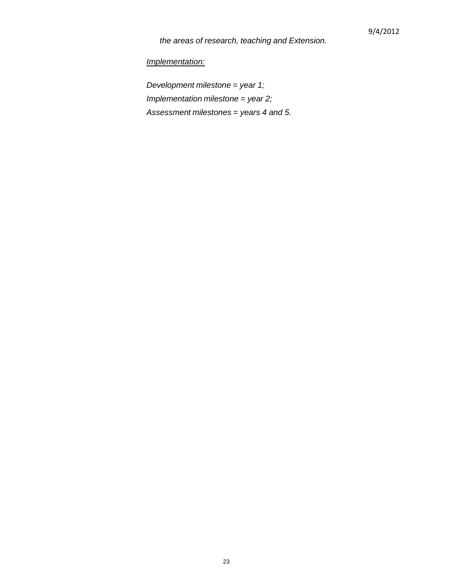*the areas of research, teaching and Extension.*

*Implementation:*

*Development milestone = year 1; Implementation milestone = year 2; Assessment milestones = years 4 and 5.*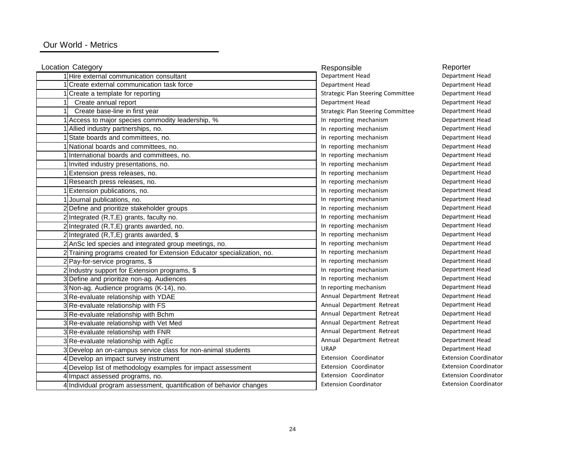### Our World - Metrics

| Location Category                                                      | Responsible                              | Reporter  |
|------------------------------------------------------------------------|------------------------------------------|-----------|
| 1 Hire external communication consultant                               | Department Head                          | Departmer |
| Create external communication task force                               | Department Head                          | Departmer |
| Create a template for reporting                                        | <b>Strategic Plan Steering Committee</b> | Departmer |
| Create annual report                                                   | Department Head                          | Departmer |
| Create base-line in first year                                         | <b>Strategic Plan Steering Committee</b> | Departmer |
| Access to major species commodity leadership, %                        | In reporting mechanism                   | Departmer |
| Allied industry partnerships, no.                                      | In reporting mechanism                   | Departmer |
| State boards and committees, no.                                       | In reporting mechanism                   | Departmer |
| National boards and committees, no.                                    | In reporting mechanism                   | Departmer |
| International boards and committees, no.                               | In reporting mechanism                   | Departmer |
| Invited industry presentations, no.                                    | In reporting mechanism                   | Departmer |
| Extension press releases, no.                                          | In reporting mechanism                   | Departmer |
| Research press releases, no.                                           | In reporting mechanism                   | Departmer |
| Extension publications, no.                                            | In reporting mechanism                   | Departmer |
| Journal publications, no.                                              | In reporting mechanism                   | Departmer |
| 2 Define and prioritize stakeholder groups                             | In reporting mechanism                   | Departmer |
| 2 Integrated (R,T,E) grants, faculty no.                               | In reporting mechanism                   | Departmer |
| 2 Integrated (R,T,E) grants awarded, no.                               | In reporting mechanism                   | Departmer |
| 2 Integrated $(R,T,E)$ grants awarded, \$                              | In reporting mechanism                   | Departmer |
| 2 AnSc led species and integrated group meetings, no.                  | In reporting mechanism                   | Departmer |
| 2 Training programs created for Extension Educator specialization, no. | In reporting mechanism                   | Departmer |
| 2 Pay-for-service programs, \$                                         | In reporting mechanism                   | Departmer |
| 2 Industry support for Extension programs, \$                          | In reporting mechanism                   | Departmer |
| 3 Define and prioritize non-ag. Audiences                              | In reporting mechanism                   | Departmer |
| 3 Non-ag. Audience programs (K-14), no.                                | In reporting mechanism                   | Departmer |
| 3 Re-evaluate relationship with YDAE                                   | Annual Department Retreat                | Departmer |
| 3 Re-evaluate relationship with FS                                     | Annual Department Retreat                | Departmer |
| 3 Re-evaluate relationship with Bchm                                   | Annual Department Retreat                | Departmer |
| 3 Re-evaluate relationship with Vet Med                                | Annual Department Retreat                | Departmer |
| 3 Re-evaluate relationship with FNR                                    | Annual Department Retreat                | Departmer |
| 3 Re-evaluate relationship with AgEc                                   | Annual Department Retreat                | Departmer |
| 3 Develop an on-campus service class for non-animal students           | <b>URAP</b>                              | Departmer |
| 4 Develop an impact survey instrument                                  | Extension Coordinator                    | Extension |
| 4 Develop list of methodology examples for impact assessment           | Extension Coordinator                    | Extension |
| Impact assessed programs, no.                                          | Extension Coordinator                    | Extension |
| 4 Individual program assessment, quantification of behavior changes    | <b>Extension Coordinator</b>             | Extension |

Department Head Department Head Department Head Department Head Department Head Department Head Department Head Department Head Department Head Department Head Department Head Department Head Department Head Department Head Department Head Department Head Department Head Department Head Department Head Department Head Department Head Department Head Department Head Department Head Department Head Department Head Department Head Department Head Department Head Department Head Department Head Department Head Extension Coordinator Extension Coordinator Extension Coordinator Extension Coordinator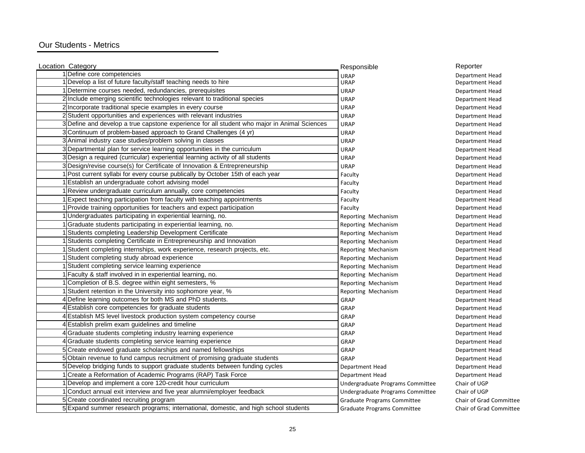### Our Students - Metrics

| Location Category                                                                            | Responsible                      | Reporter                |
|----------------------------------------------------------------------------------------------|----------------------------------|-------------------------|
| 1 Define core competencies                                                                   | <b>URAP</b>                      | Department Head         |
| 1 Develop a list of future faculty/staff teaching needs to hire                              | <b>URAP</b>                      | Department Head         |
| 1 Determine courses needed, redundancies, prerequisites                                      | <b>URAP</b>                      | Department Head         |
| 2 Include emerging scientific technologies relevant to traditional species                   | <b>URAP</b>                      | Department Head         |
| 2 Incorporate traditional specie examples in every course                                    | <b>URAP</b>                      | Department Head         |
| 2 Student opportunities and experiences with relevant industries                             | <b>URAP</b>                      | Department Head         |
| 3 Define and develop a true capstone experience for all student who major in Animal Sciences | <b>URAP</b>                      | Department Head         |
| 3 Continuum of problem-based approach to Grand Challenges (4 yr)                             | <b>URAP</b>                      | Department Head         |
| 3 Animal industry case studies/problem solving in classes                                    | <b>URAP</b>                      | Department Head         |
| 3 Departmental plan for service learning opportunities in the curriculum                     | <b>URAP</b>                      | Department Head         |
| 3 Design a required (curricular) experiential learning activity of all students              | <b>URAP</b>                      | Department Head         |
| 3 Design/revise course(s) for Certificate of Innovation & Entrepreneurship                   | <b>URAP</b>                      | Department Head         |
| 1 Post current syllabi for every course publically by October 15th of each year              | Faculty                          | Department Head         |
| Establish an undergraduate cohort advising model                                             | Faculty                          | Department Head         |
| 1 Review undergraduate curriculum annually, core competencies                                | Faculty                          | Department Head         |
| Expect teaching participation from faculty with teaching appointments                        | Faculty                          | Department Head         |
| 1 Provide training opportunities for teachers and expect participation                       | Faculty                          | Department Head         |
| 1 Undergraduates participating in experiential learning, no.                                 | Reporting Mechanism              | Department Head         |
| Graduate students participating in experiential learning, no.                                | Reporting Mechanism              | Department Head         |
| Students completing Leadership Development Certificate                                       | Reporting Mechanism              | Department Head         |
| Students completing Certificate in Entrepreneurship and Innovation                           | Reporting Mechanism              | Department Head         |
| Student completing internships, work experience, research projects, etc.                     | Reporting Mechanism              | Department Head         |
| Student completing study abroad experience                                                   | Reporting Mechanism              | Department Head         |
| Student completing service learning experience                                               | Reporting Mechanism              | Department Head         |
| Faculty & staff involved in in experiential learning, no.                                    | Reporting Mechanism              | Department Head         |
| Completion of B.S. degree within eight semesters, %                                          | Reporting Mechanism              | Department Head         |
| 1 Student retention in the University into sophomore year, %                                 | Reporting Mechanism              | Department Head         |
| 4 Define learning outcomes for both MS and PhD students.                                     | GRAP                             | Department Head         |
| 4 Establish core competencies for graduate students                                          | GRAP                             | Department Head         |
| 4 Establish MS level livestock production system competency course                           | GRAP                             | Department Head         |
| 4 Establish prelim exam guidelines and timeline                                              | GRAP                             | Department Head         |
| 4 Graduate students completing industry learning experience                                  | GRAP                             | Department Head         |
| 4 Graduate students completing service learning experience                                   | GRAP                             | Department Head         |
| 5 Create endowed graduate scholarships and named fellowships                                 | GRAP                             | Department Head         |
| 5 Obtain revenue to fund campus recruitment of promising graduate students                   | GRAP                             | Department Head         |
| 5 Develop bridging funds to support graduate students between funding cycles                 | Department Head                  | Department Head         |
| 1 Create a Reformation of Academic Programs (RAP) Task Force                                 | Department Head                  | Department Head         |
| 1 Develop and implement a core 120-credit hour curriculum                                    | Undergraduate Programs Committee | Chair of UGP            |
| 1 Conduct annual exit interview and five year alumni/employer feedback                       | Undergraduate Programs Committee | Chair of UGP            |
| 5 Create coordinated recruiting program                                                      | Graduate Programs Committee      | Chair of Grad Committee |
| 5 Expand summer research programs; international, domestic, and high school students         | Graduate Programs Committee      | Chair of Grad Committee |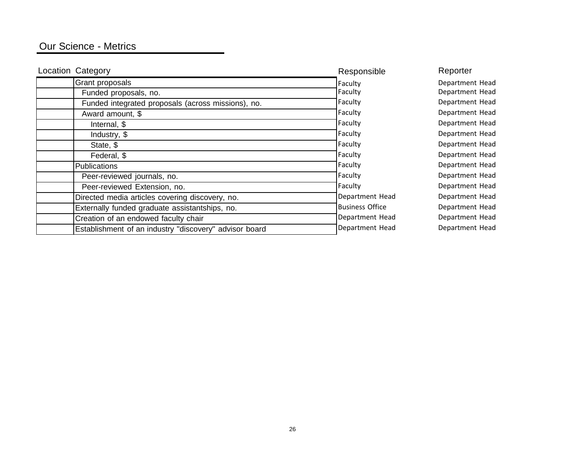# Our Science - Metrics

| <b>Location Category</b>                               | Responsible            | Reporter        |
|--------------------------------------------------------|------------------------|-----------------|
| Grant proposals                                        | Faculty                | Department Head |
| Funded proposals, no.                                  | Faculty                | Department Head |
| Funded integrated proposals (across missions), no.     | Faculty                | Department Head |
| Award amount, \$                                       | Faculty                | Department Head |
| Internal, \$                                           | Faculty                | Department Head |
| Industry, \$                                           | Faculty                | Department Head |
| State, \$                                              | Faculty                | Department Head |
| Federal, \$                                            | Faculty                | Department Head |
| Publications                                           | Faculty                | Department Head |
| Peer-reviewed journals, no.                            | Faculty                | Department Head |
| Peer-reviewed Extension, no.                           | Faculty                | Department Head |
| Directed media articles covering discovery, no.        | Department Head        | Department Head |
| Externally funded graduate assistantships, no.         | <b>Business Office</b> | Department Head |
| Creation of an endowed faculty chair                   | Department Head        | Department Head |
| Establishment of an industry "discovery" advisor board | Department Head        | Department Head |